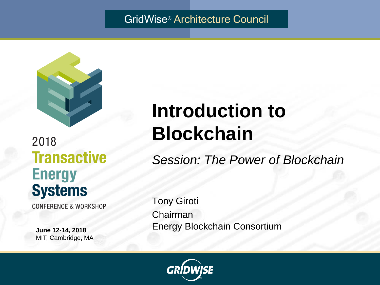#### GridWise® Architecture Council



# 2018 **Transactive Energy Systems**

**CONFERENCE & WORKSHOP** 

**June 12-14, 2018** MIT, Cambridge, MA

# **Introduction to Blockchain**

*Session: The Power of Blockchain*

Tony Giroti Chairman Energy Blockchain Consortium

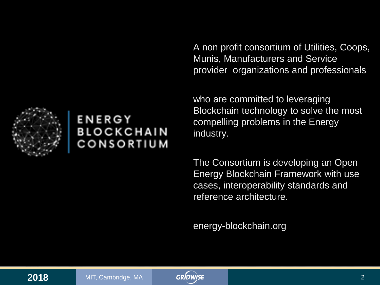A non profit consortium of Utilities, Coops, Munis, Manufacturers and Service provider organizations and professionals

who are committed to leveraging Blockchain technology to solve the most compelling problems in the Energy industry.

The Consortium is developing an Open Energy Blockchain Framework with use cases, interoperability standards and reference architecture.

energy-blockchain.org



## ENERGY **BLOCKCHAIN** CONSORTIUM

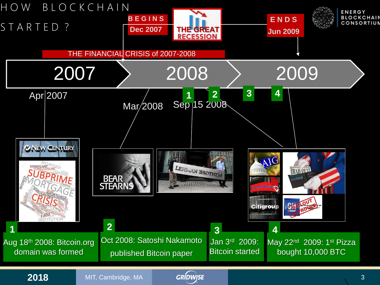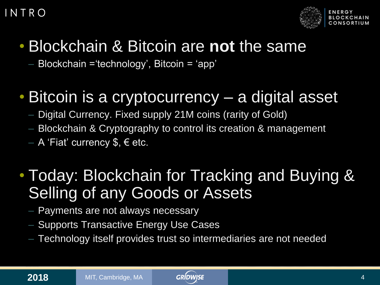### I N T R O



# • Blockchain & Bitcoin are **not** the same

– Blockchain ='technology', Bitcoin = 'app'

# • Bitcoin is a cryptocurrency – a digital asset

- Digital Currency. Fixed supply 21M coins (rarity of Gold)
- Blockchain & Cryptography to control its creation & management

 $-$  A 'Fiat' currency \$,  $\epsilon$  etc.

# • Today: Blockchain for Tracking and Buying & Selling of any Goods or Assets

- Payments are not always necessary
- Supports Transactive Energy Use Cases
- Technology itself provides trust so intermediaries are not needed

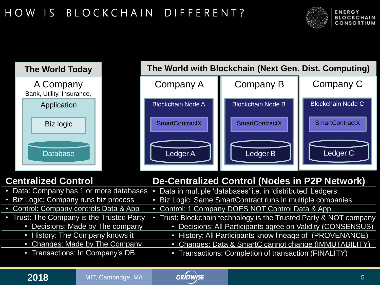# H O W I S B L O C K C H A I N D I F F E R E N T ?





#### **Centralized Control**



#### **De-Centralized Control (Nodes in P2P Network)**

| • Data: Company has 1 or more databases • | Data in multiple 'databases' i.e. in 'distributed' Ledgers      |
|-------------------------------------------|-----------------------------------------------------------------|
| • Biz Logic: Company runs biz process     | • Biz Logic: Same SmartContract runs in multiple companies      |
| • Control: Company controls Data & App    | • Control: 1 Company DOES NOT Control Data & App.               |
| • Trust: The Company is the Trusted Party | Trust: Blockchain technology is the Trusted Party & NOT company |
| • Decisions: Made by The company          | Decisions: All Participants agree on Validity (CONSENSUS)       |
| • History: The Company knows it           | • History: All Participants know lineage of (PROVENANCE)        |
| • Changes: Made by The Company            | Changes: Data & SmartC cannot change (IMMUTABILITY)             |
| • Transactions: In Company's DB           | • Transactions: Completion of transaction (FINALITY)            |
|                                           |                                                                 |

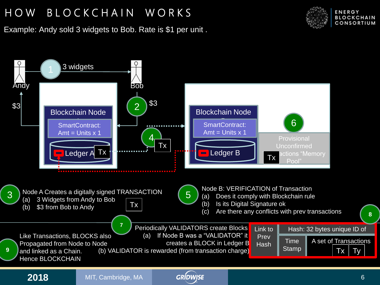# H O W B L O C K C H A I N W O R K S AND TRANSACTION CONTROL CONTROL AND TRANSPORTED TRANSPORTED TRANSPORTED TRANS

Example: Andy sold 3 widgets to Bob. Rate is \$1 per unit .





**8**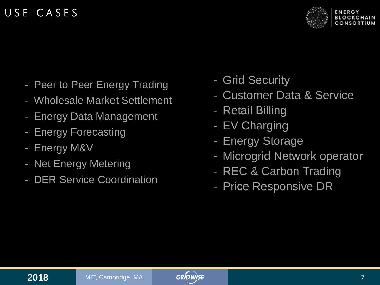### U S E C A S E S



- Peer to Peer Energy Trading
- Wholesale Market Settlement
- Energy Data Management
- **Energy Forecasting**
- Energy M&V
- Net Energy Metering
- DER Service Coordination
- Grid Security
- Customer Data & Service
- Retail Billing
- EV Charging
- Energy Storage
- Microgrid Network operator
- REC & Carbon Trading
- Price Responsive DR